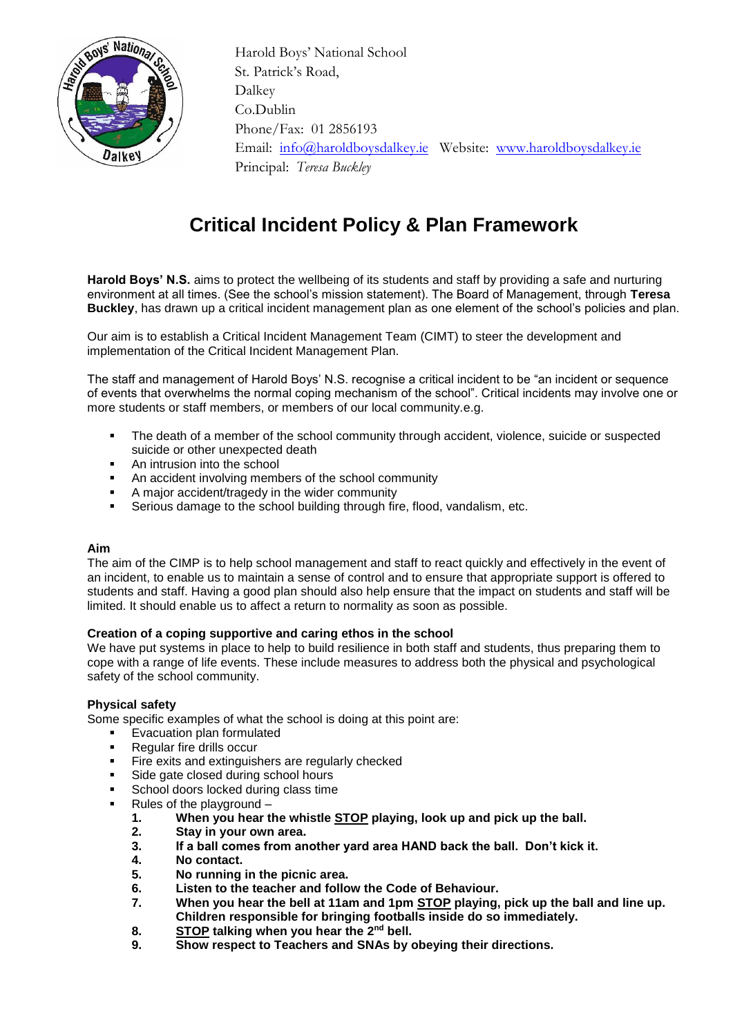

 Harold Boys' National School St. Patrick's Road, Dalkey Co.Dublin Phone/Fax: 01 2856193 Email: [info@haroldboysdalkey.ie](mailto:info@haroldboysdalkey.ie) Website: [www.haroldboysdalkey.ie](http://www.haroldboysdalkey.ie/) Principal: *Teresa Buckley*

# **Critical Incident Policy & Plan Framework**

**Harold Boys' N.S.** aims to protect the wellbeing of its students and staff by providing a safe and nurturing environment at all times. (See the school's mission statement). The Board of Management, through **Teresa Buckley**, has drawn up a critical incident management plan as one element of the school's policies and plan.

Our aim is to establish a Critical Incident Management Team (CIMT) to steer the development and implementation of the Critical Incident Management Plan.

The staff and management of Harold Boys' N.S. recognise a critical incident to be "an incident or sequence of events that overwhelms the normal coping mechanism of the school". Critical incidents may involve one or more students or staff members, or members of our local community.e.g.

- The death of a member of the school community through accident, violence, suicide or suspected suicide or other unexpected death
- An intrusion into the school
- An accident involving members of the school community
- A major accident/tragedy in the wider community
- Serious damage to the school building through fire, flood, vandalism, etc.

### **Aim**

The aim of the CIMP is to help school management and staff to react quickly and effectively in the event of an incident, to enable us to maintain a sense of control and to ensure that appropriate support is offered to students and staff. Having a good plan should also help ensure that the impact on students and staff will be limited. It should enable us to affect a return to normality as soon as possible.

### **Creation of a coping supportive and caring ethos in the school**

We have put systems in place to help to build resilience in both staff and students, thus preparing them to cope with a range of life events. These include measures to address both the physical and psychological safety of the school community.

### **Physical safety**

Some specific examples of what the school is doing at this point are:

- Evacuation plan formulated
- **Regular fire drills occur**
- Fire exits and extinguishers are regularly checked
- Side gate closed during school hours
- School doors locked during class time
- Rules of the playground
	- **1. When you hear the whistle STOP playing, look up and pick up the ball.**
	- **2. Stay in your own area.**
	- **3. If a ball comes from another yard area HAND back the ball. Don't kick it.**
	- **4. No contact.**
	- **5. No running in the picnic area.**
	- **6. Listen to the teacher and follow the Code of Behaviour.**
	- **7. When you hear the bell at 11am and 1pm STOP playing, pick up the ball and line up. Children responsible for bringing footballs inside do so immediately.**
	- **8. STOP talking when you hear the 2nd bell.**
	- **9. Show respect to Teachers and SNAs by obeying their directions.**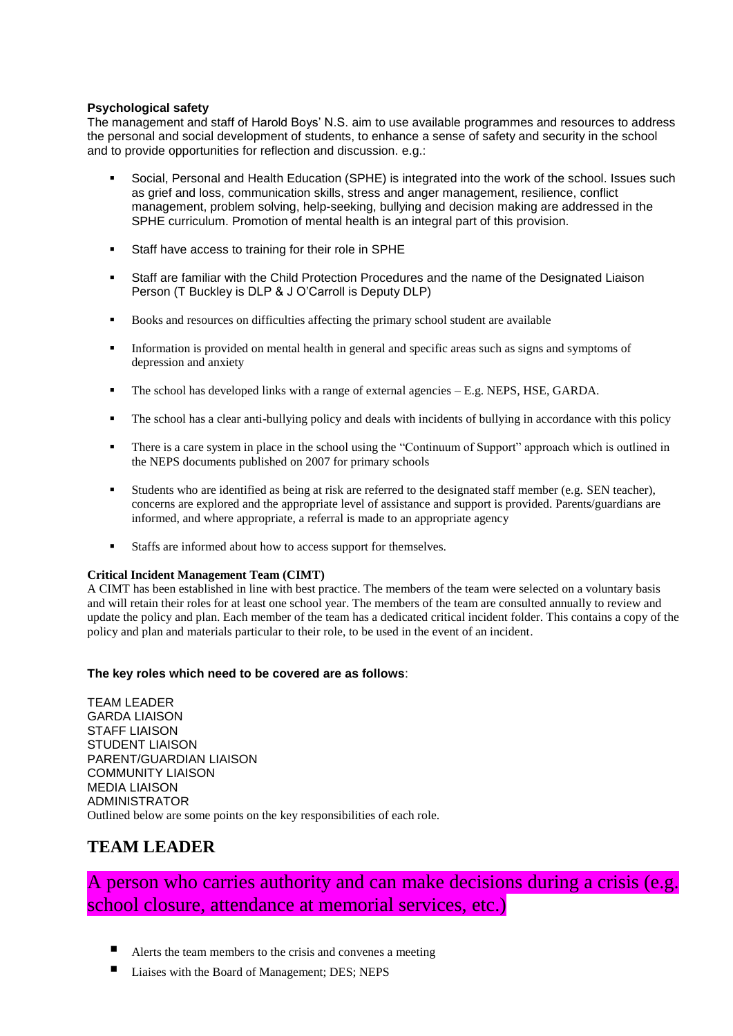### **Psychological safety**

The management and staff of Harold Boys' N.S. aim to use available programmes and resources to address the personal and social development of students, to enhance a sense of safety and security in the school and to provide opportunities for reflection and discussion. e.g.:

- Social, Personal and Health Education (SPHE) is integrated into the work of the school. Issues such as grief and loss, communication skills, stress and anger management, resilience, conflict management, problem solving, help-seeking, bullying and decision making are addressed in the SPHE curriculum. Promotion of mental health is an integral part of this provision.
- Staff have access to training for their role in SPHE
- Staff are familiar with the Child Protection Procedures and the name of the Designated Liaison Person (T Buckley is DLP & J O'Carroll is Deputy DLP)
- Books and resources on difficulties affecting the primary school student are available
- Information is provided on mental health in general and specific areas such as signs and symptoms of depression and anxiety
- The school has developed links with a range of external agencies E.g. NEPS, HSE, GARDA.
- The school has a clear anti-bullying policy and deals with incidents of bullying in accordance with this policy
- There is a care system in place in the school using the "Continuum of Support" approach which is outlined in the NEPS documents published on 2007 for primary schools
- Students who are identified as being at risk are referred to the designated staff member (e.g. SEN teacher), concerns are explored and the appropriate level of assistance and support is provided. Parents/guardians are informed, and where appropriate, a referral is made to an appropriate agency
- Staffs are informed about how to access support for themselves.

#### **Critical Incident Management Team (CIMT)**

A CIMT has been established in line with best practice. The members of the team were selected on a voluntary basis and will retain their roles for at least one school year. The members of the team are consulted annually to review and update the policy and plan. Each member of the team has a dedicated critical incident folder. This contains a copy of the policy and plan and materials particular to their role, to be used in the event of an incident.

### **The key roles which need to be covered are as follows**:

TEAM LEADER GARDA LIAISON STAFF LIAISON STUDENT LIAISON PARENT/GUARDIAN LIAISON COMMUNITY LIAISON MEDIA LIAISON ADMINISTRATOR Outlined below are some points on the key responsibilities of each role.

### **TEAM LEADER**

## A person who carries authority and can make decisions during a crisis (e.g. school closure, attendance at memorial services, etc.)

- Alerts the team members to the crisis and convenes a meeting
- Liaises with the Board of Management; DES; NEPS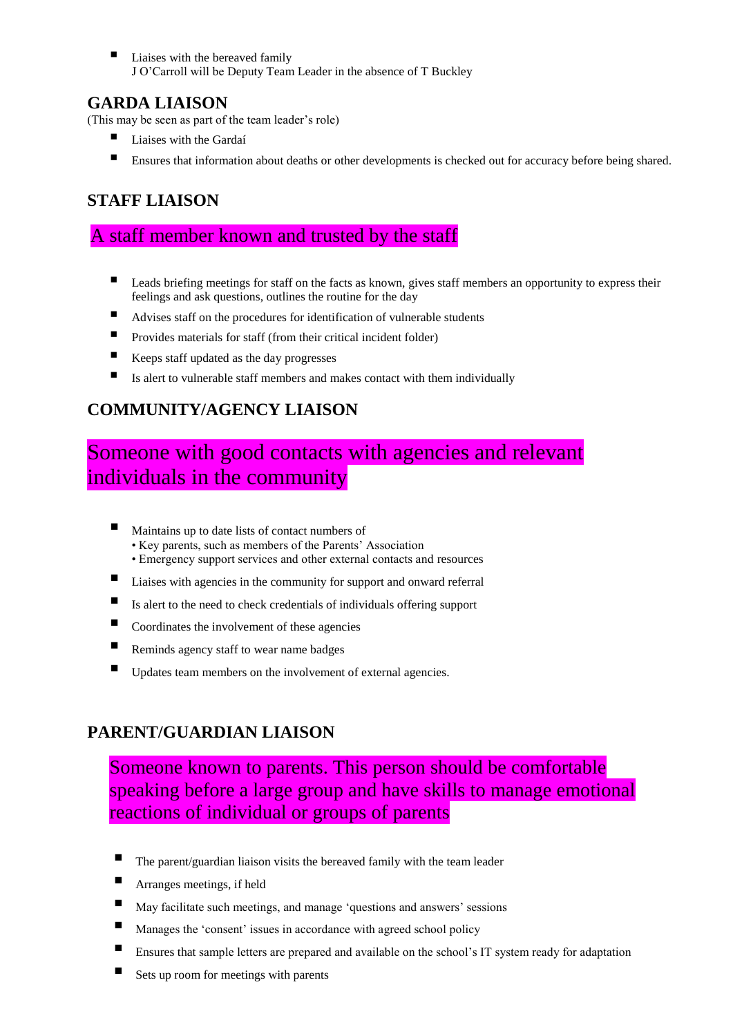Liaises with the bereaved family J O'Carroll will be Deputy Team Leader in the absence of T Buckley

### **GARDA LIAISON**

(This may be seen as part of the team leader's role)

- Liaises with the Gardaí
- **Ensures that information about deaths or other developments is checked out for accuracy before being shared.**

## **STAFF LIAISON**

## A staff member known and trusted by the staff

- Leads briefing meetings for staff on the facts as known, gives staff members an opportunity to express their feelings and ask questions, outlines the routine for the day
- Advises staff on the procedures for identification of vulnerable students
- $\blacksquare$  Provides materials for staff (from their critical incident folder)
- Keeps staff updated as the day progresses
- Is alert to vulnerable staff members and makes contact with them individually

## **COMMUNITY/AGENCY LIAISON**

# Someone with good contacts with agencies and relevant individuals in the community

- Maintains up to date lists of contact numbers of
	- Key parents, such as members of the Parents' Association
	- Emergency support services and other external contacts and resources
- Liaises with agencies in the community for support and onward referral
- $\blacksquare$  Is alert to the need to check credentials of individuals offering support
- $\blacksquare$  Coordinates the involvement of these agencies
- Reminds agency staff to wear name badges
- Updates team members on the involvement of external agencies.

## **PARENT/GUARDIAN LIAISON**

Someone known to parents. This person should be comfortable speaking before a large group and have skills to manage emotional reactions of individual or groups of parents

- The parent/guardian liaison visits the bereaved family with the team leader
- Arranges meetings, if held
- May facilitate such meetings, and manage 'questions and answers' sessions
- Manages the 'consent' issues in accordance with agreed school policy
- Ensures that sample letters are prepared and available on the school's IT system ready for adaptation
- Sets up room for meetings with parents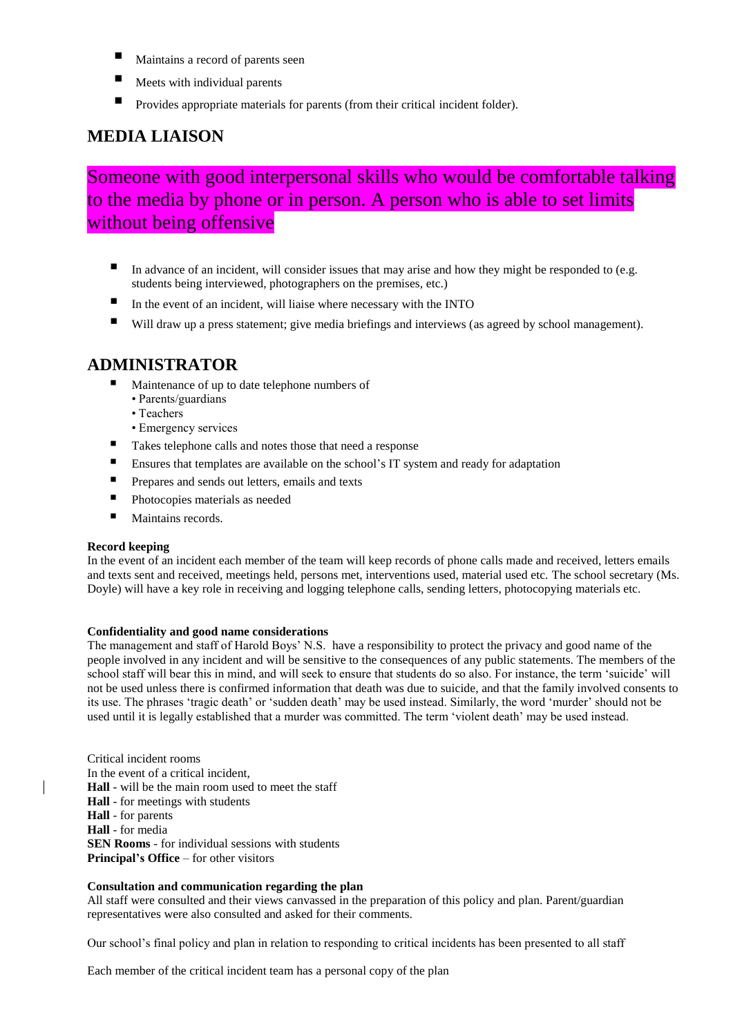- Maintains a record of parents seen
- Meets with individual parents
- Provides appropriate materials for parents (from their critical incident folder).

### **MEDIA LIAISON**

Someone with good interpersonal skills who would be comfortable talking to the media by phone or in person. A person who is able to set limits without being offensive

- In advance of an incident, will consider issues that may arise and how they might be responded to (e.g. students being interviewed, photographers on the premises, etc.)
- $\blacksquare$  In the event of an incident, will liaise where necessary with the INTO
- Will draw up a press statement; give media briefings and interviews (as agreed by school management).

### **ADMINISTRATOR**

- Maintenance of up to date telephone numbers of
	- Parents/guardians
	- Teachers
- Emergency services
- Takes telephone calls and notes those that need a response
- **Ensures that templates are available on the school's IT system and ready for adaptation**
- **Prepares and sends out letters, emails and texts**
- **Photocopies materials as needed**
- $\blacksquare$  Maintains records.

#### **Record keeping**

In the event of an incident each member of the team will keep records of phone calls made and received, letters emails and texts sent and received, meetings held, persons met, interventions used, material used etc. The school secretary (Ms. Doyle) will have a key role in receiving and logging telephone calls, sending letters, photocopying materials etc.

#### **Confidentiality and good name considerations**

The management and staff of Harold Boys' N.S. have a responsibility to protect the privacy and good name of the people involved in any incident and will be sensitive to the consequences of any public statements. The members of the school staff will bear this in mind, and will seek to ensure that students do so also. For instance, the term 'suicide' will not be used unless there is confirmed information that death was due to suicide, and that the family involved consents to its use. The phrases 'tragic death' or 'sudden death' may be used instead. Similarly, the word 'murder' should not be used until it is legally established that a murder was committed. The term 'violent death' may be used instead.

Critical incident rooms In the event of a critical incident, **Hall** - will be the main room used to meet the staff **Hall** - for meetings with students **Hall** - for parents **Hall** - for media **SEN Rooms** - for individual sessions with students **Principal's Office** – for other visitors

#### **Consultation and communication regarding the plan**

All staff were consulted and their views canvassed in the preparation of this policy and plan. Parent/guardian representatives were also consulted and asked for their comments.

Our school's final policy and plan in relation to responding to critical incidents has been presented to all staff

Each member of the critical incident team has a personal copy of the plan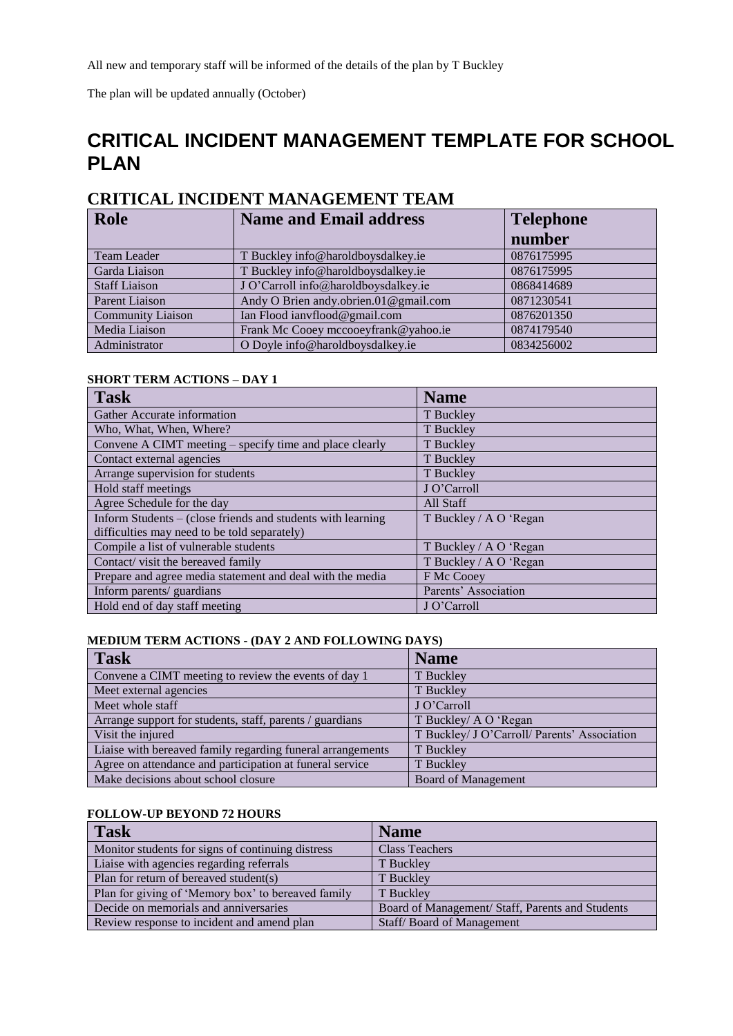The plan will be updated annually (October)

# **CRITICAL INCIDENT MANAGEMENT TEMPLATE FOR SCHOOL PLAN**

### **CRITICAL INCIDENT MANAGEMENT TEAM**

| <b>Role</b>              | <b>Name and Email address</b>         | <b>Telephone</b> |
|--------------------------|---------------------------------------|------------------|
|                          |                                       | number           |
| Team Leader              | T Buckley info@haroldboysdalkey.ie    | 0876175995       |
| Garda Liaison            | T Buckley info@haroldboysdalkey.ie    | 0876175995       |
| <b>Staff Liaison</b>     | J O'Carroll info@haroldboysdalkey.ie  | 0868414689       |
| Parent Liaison           | Andy O Brien andy.obrien.01@gmail.com | 0871230541       |
| <b>Community Liaison</b> | Ian Flood ianyflood@gmail.com         | 0876201350       |
| Media Liaison            | Frank Mc Cooey mccooeyfrank@yahoo.ie  | 0874179540       |
| Administrator            | O Doyle info@haroldboysdalkey.ie      | 0834256002       |

#### **SHORT TERM ACTIONS – DAY 1**

| <b>Task</b>                                                 | <b>Name</b>            |
|-------------------------------------------------------------|------------------------|
| Gather Accurate information                                 | T Buckley              |
| Who, What, When, Where?                                     | T Buckley              |
| Convene A CIMT meeting – specify time and place clearly     | T Buckley              |
| Contact external agencies                                   | T Buckley              |
| Arrange supervision for students                            | T Buckley              |
| Hold staff meetings                                         | J O'Carroll            |
| Agree Schedule for the day                                  | All Staff              |
| Inform Students – (close friends and students with learning | T Buckley / A O 'Regan |
| difficulties may need to be told separately)                |                        |
| Compile a list of vulnerable students                       | T Buckley / A O 'Regan |
| Contact/visit the bereaved family                           | T Buckley / A O 'Regan |
| Prepare and agree media statement and deal with the media   | F Mc Cooey             |
| Inform parents/ guardians                                   | Parents' Association   |
| Hold end of day staff meeting                               | J O'Carroll            |

### **MEDIUM TERM ACTIONS - (DAY 2 AND FOLLOWING DAYS)**

| Task                                                       | <b>Name</b>                                  |
|------------------------------------------------------------|----------------------------------------------|
| Convene a CIMT meeting to review the events of day 1       | T Buckley                                    |
| Meet external agencies                                     | T Buckley                                    |
| Meet whole staff                                           | J O'Carroll                                  |
| Arrange support for students, staff, parents / guardians   | T Buckley/ A O 'Regan                        |
| Visit the injured                                          | T Buckley/ J O'Carroll/ Parents' Association |
| Liaise with bereaved family regarding funeral arrangements | T Buckley                                    |
| Agree on attendance and participation at funeral service   | T Buckley                                    |
| Make decisions about school closure                        | <b>Board of Management</b>                   |

### **FOLLOW-UP BEYOND 72 HOURS**

| <b>Task</b>                                        | <b>Name</b>                                      |
|----------------------------------------------------|--------------------------------------------------|
| Monitor students for signs of continuing distress  | <b>Class Teachers</b>                            |
| Liaise with agencies regarding referrals           | T Buckley                                        |
| Plan for return of bereaved student(s)             | T Buckley                                        |
| Plan for giving of 'Memory box' to bereaved family | T Buckley                                        |
| Decide on memorials and anniversaries              | Board of Management/ Staff, Parents and Students |
| Review response to incident and amend plan         | Staff/Board of Management                        |